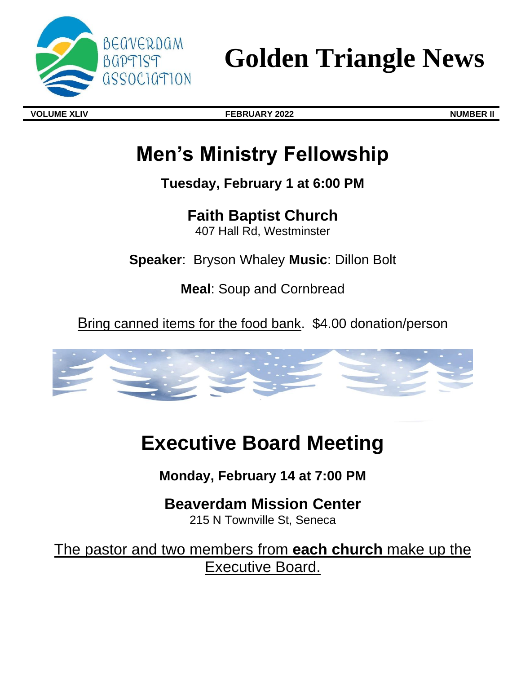

**Golden Triangle News**

**VOLUME XLIV FEBRUARY 2022 NUMBER II**

# **Men's Ministry Fellowship**

**Tuesday, February 1 at 6:00 PM** 

**Faith Baptist Church** 

407 Hall Rd, Westminster

**Speaker**: Bryson Whaley **Music**: Dillon Bolt

**Meal**: Soup and Cornbread

Bring canned items for the food bank. \$4.00 donation/person



# **Executive Board Meeting**

**Monday, February 14 at 7:00 PM** 

**Beaverdam Mission Center**  215 N Townville St, Seneca

The pastor and two members from **each church** make up the Executive Board.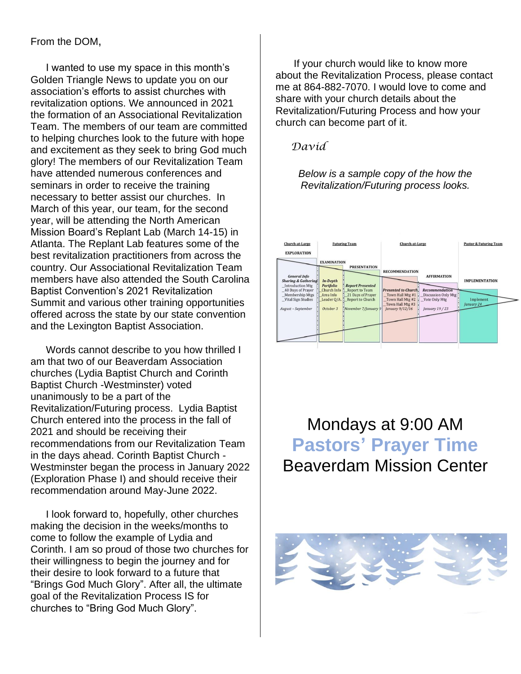### From the DOM,

I wanted to use my space in this month's Golden Triangle News to update you on our association's efforts to assist churches with revitalization options. We announced in 2021 the formation of an Associational Revitalization Team. The members of our team are committed to helping churches look to the future with hope and excitement as they seek to bring God much glory! The members of our Revitalization Team have attended numerous conferences and seminars in order to receive the training necessary to better assist our churches. In March of this year, our team, for the second year, will be attending the North American Mission Board's Replant Lab (March 14-15) in Atlanta. The Replant Lab features some of the best revitalization practitioners from across the country. Our Associational Revitalization Team members have also attended the South Carolina Baptist Convention's 2021 Revitalization Summit and various other training opportunities offered across the state by our state convention and the Lexington Baptist Association.

Words cannot describe to you how thrilled I am that two of our Beaverdam Association churches (Lydia Baptist Church and Corinth Baptist Church -Westminster) voted unanimously to be a part of the Revitalization/Futuring process. Lydia Baptist Church entered into the process in the fall of 2021 and should be receiving their recommendations from our Revitalization Team in the days ahead. Corinth Baptist Church - Westminster began the process in January 2022 (Exploration Phase I) and should receive their recommendation around May-June 2022.

I look forward to, hopefully, other churches making the decision in the weeks/months to come to follow the example of Lydia and Corinth. I am so proud of those two churches for their willingness to begin the journey and for their desire to look forward to a future that "Brings God Much Glory". After all, the ultimate goal of the Revitalization Process IS for churches to "Bring God Much Glory".

If your church would like to know more about the Revitalization Process, please contact me at 864-882-7070. I would love to come and share with your church details about the Revitalization/Futuring Process and how your church can become part of it.

### *David*

### *Below is a sample copy of the how the Revitalization/Futuring process looks.*



Mondays at 9:00 AM **Pastors' Prayer Time**  Beaverdam Mission Center

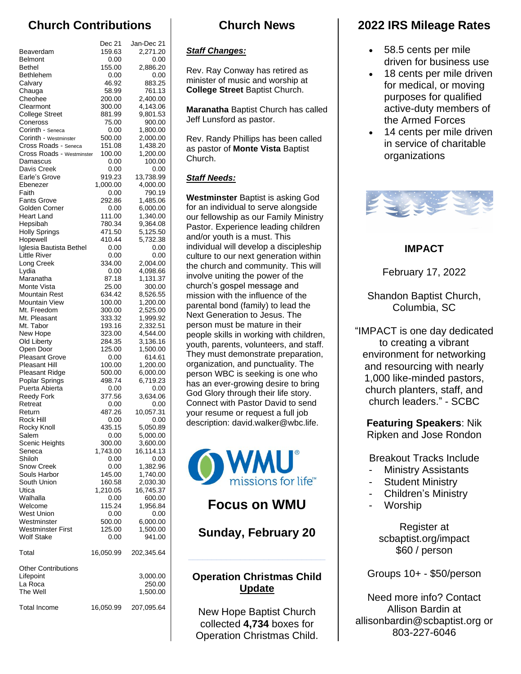# **Church Contributions**

|                                               | Dec 21           | Jan-Dec 21           |
|-----------------------------------------------|------------------|----------------------|
| Beaverdam                                     | 159.63           | 2,271.20             |
| <b>Belmont</b><br><b>Bethel</b>               | 0.00<br>155.00   | 0.00<br>2,886.20     |
| Bethlehem                                     | 0.00             | 0.00                 |
| Calvary                                       | 46.92            | 883.25               |
| Chauga                                        | 58.99            | 761.13               |
| Cheohee<br>Clearmont                          | 200.00<br>300.00 | 2,400.00<br>4,143.06 |
| <b>College Street</b>                         | 881.99           | 9,801.53             |
| Coneross                                      | 75.00            | 900.00               |
| Corinth - Seneca                              | 0.00             | 1,800.00             |
| Corinth - Westminster<br>Cross Roads - Seneca | 500.00           | 2,000.00             |
| Cross Roads - Westminster                     | 151.08<br>100.00 | 1,438.20<br>1,200.00 |
| Damascus                                      | 0.00             | 100.00               |
| Davis Creek                                   | 0.00             | 0.00                 |
| Earle's Grove                                 | 919.23           | 13,738.99            |
| Ebenezer<br>Faith                             | 1,000.00<br>0.00 | 4,000.00<br>790.19   |
| <b>Fants Grove</b>                            | 292.86           | 1,485.06             |
| Golden Corner                                 | 0.00             | 6,000.00             |
| <b>Heart Land</b>                             | 111.00           | 1,340.00             |
| Hepsibah                                      | 780.34           | 9,364.08             |
| <b>Holly Springs</b><br>Hopewell              | 471.50<br>410.44 | 5,125.50<br>5,732.38 |
| Iglesia Bautista Bethel                       | 0.00             | 0.00                 |
| Little River                                  | 0.00             | 0.00                 |
| Long Creek                                    | 334.00           | 2,004.00             |
| Lydia                                         | 0.00             | 4,098.66             |
| Maranatha<br>Monte Vista                      | 87.18            | 1,131.37             |
| Mountain Rest                                 | 25.00<br>634.42  | 300.00<br>8,526.55   |
| Mountain View                                 | 100.00           | 1,200.00             |
| Mt. Freedom                                   | 300.00           | 2,525.00             |
| Mt. Pleasant                                  | 333.32           | 1,999.92             |
| Mt. Tabor                                     | 193.16           | 2,332.51             |
| New Hope<br>Old Liberty                       | 323.00<br>284.35 | 4,544.00<br>3,136.16 |
| Open Door                                     | 125.00           | 1,500.00             |
| <b>Pleasant Grove</b>                         | 0.00             | 614.61               |
| Pleasant Hill                                 | 100.00           | 1,200.00             |
| Pleasant Ridge                                | 500.00           | 6,000.00             |
| Poplar Springs<br>Puerta Abierta              | 498.74<br>0.00   | 6,719.23<br>0.00     |
| <b>Reedy Fork</b>                             | 377.56           | 3,634.06             |
| Retreat                                       | 0.00             | 0.00                 |
| Return                                        | 487.26           | 10,057.31            |
| Rock Hill                                     | 0.00             | 0.00                 |
| Rocky Knoll<br>Salem                          | 435.15<br>0.00   | 5,050.89<br>5,000.00 |
| Scenic Heights                                | 300.00           | 3,600.00             |
| Seneca                                        | 1,743.00         | 16,114.13            |
| Shiloh                                        | 0.00             | 0.00                 |
| Snow Creek                                    | 0.00             | 1,382.96             |
| Souls Harbor<br>South Union                   | 145.00<br>160.58 | 1,740.00<br>2,030.30 |
| Utica                                         | 1,210.05         | 16,745.37            |
| Walhalla                                      | 0.00             | 600.00               |
| Welcome                                       | 115.24           | 1,956.84             |
| <b>West Union</b>                             | 0.00             | 0.00                 |
| Westminster<br><b>Westminster First</b>       | 500.00<br>125.00 | 6,000.00<br>1,500.00 |
| <b>Wolf Stake</b>                             | 0.00             | 941.00               |
| Total                                         | 16,050.99        | 202,345.64           |
| <b>Other Contributions</b>                    |                  |                      |
| Lifepoint                                     |                  | 3,000.00             |
| La Roca                                       |                  | 250.00               |
| The Well                                      |                  | 1,500.00             |
| <b>Total Income</b>                           | 16,050.99        | 207,095.64           |

# **Church News**

#### *Staff Changes:*

Rev. Ray Conway has retired as minister of music and worship at **College Street** Baptist Church.

**Maranatha** Baptist Church has called Jeff Lunsford as pastor.

Rev. Randy Phillips has been called as pastor of **Monte Vista** Baptist Church.

### *Staff Needs:*

**Westminster** Baptist is asking God for an individual to serve alongside our fellowship as our Family Ministry Pastor. Experience leading children and/or youth is a must. This individual will develop a discipleship culture to our next generation within the church and community. This will involve uniting the power of the church's gospel message and mission with the influence of the parental bond (family) to lead the Next Generation to Jesus. The person must be mature in their people skills in working with children, youth, parents, volunteers, and staff. They must demonstrate preparation, organization, and punctuality. The person WBC is seeking is one who has an ever-growing desire to bring God Glory through their life story. Connect with Pastor David to send your resume or request a full job description: david.walker@wbc.life.



## **Focus on WMU**

## **Sunday, February 20**

### **Operation Christmas Child Update**

New Hope Baptist Church collected **4,734** boxes for Operation Christmas Child.

# **2022 IRS Mileage Rates**

- 58.5 cents per mile driven for business use
- 18 cents per mile driven for medical, or moving purposes for qualified active-duty members of the Armed Forces
- 14 cents per mile driven in service of charitable organizations



### **IMPACT**

February 17, 2022

Shandon Baptist Church, Columbia, SC

"IMPACT is one day dedicated to creating a vibrant environment for networking and resourcing with nearly 1,000 like-minded pastors, church planters, staff, and church leaders." - SCBC

**Featuring Speakers**: Nik Ripken and Jose Rondon

Breakout Tracks Include

- **Ministry Assistants**
- **Student Ministry**
- Children's Ministry
- **Worship**

Register at scbaptist.org/impact \$60 / person

Groups 10+ - \$50/person

Need more info? Contact Allison Bardin at allisonbardin@scbaptist.org or 803-227-6046